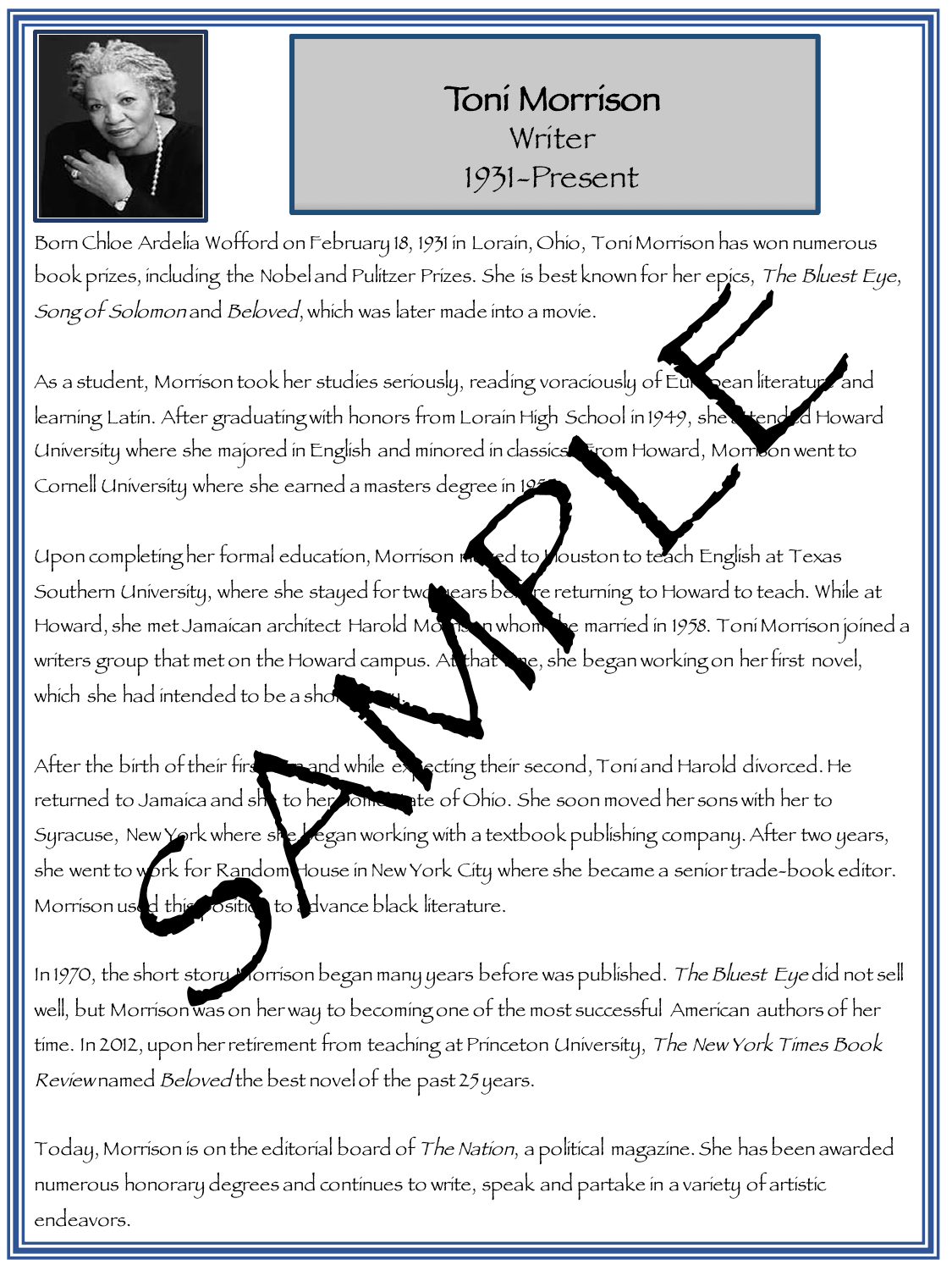

## Toni Morrison Writer 1931-Present

Born Chloe Ardelia Wofford on February 18, 1931 in Lorain, Ohio, Toni Morrison has won numerous book prizes, including the Nobel and Pulitzer Prizes. She is best known for her epics, The Bluest Eye, Song of Solomon and Beloved, which was later made into a movie.

As a student, Morrison took her studies seriously, reading voraciously of European literature and learning Latin. After graduating with honors from Lorain High School in 1949, she attended Howard University where she majored in English and minored in classics. From Howard, Morrison went to Cornell University where she earned a masters degree in 1955

Upon completing her formal education, Morrison moved to Mouston to teach English at Texas Southern University, where she stayed for two years before returning to Howard to teach. While at Howard, she met Jamaican architect Harold Morrison whom she married in 1958. Toni Morrison joined a writers group that met on the Howard campus. At that the, she began working on her first novel, which she had intended to be a shot rizes, including the Nobel and Fultzer Prizes. She is best known for her episs, The Bluest<br>
ESchmenrand Beloved, which was later made into a movie.<br>
Menti. After gradiaty when studies seriously, reading voraciously of Fult

After the birth of their first sound while expecting their second, Toni and Harold divorced. He returned to Jamaica and she to her Joine ate of Ohio. She soon moved her sons with her to Syracuse, New York where she began working with a textbook publishing company. After two years, she went to work for Random House in New York City where she became a senior trade-book editor. Morrison used this position to advance black literature.

In 1970, the short story Morrison began many years before was published. The Bluest Eye did not sell well, but Morrison was on her way to becoming one of the most successful American authors of her time. In 2012, upon her retirement from teaching at Princeton University, The New York Times Book Review named Beloved the best novel of the past 25 years.

Today, Morrison is on the editorial board of The Nation, a political magazine. She has been awarded numerous honorary degrees and continues to write, speak and partake in a variety of artistic endeavors.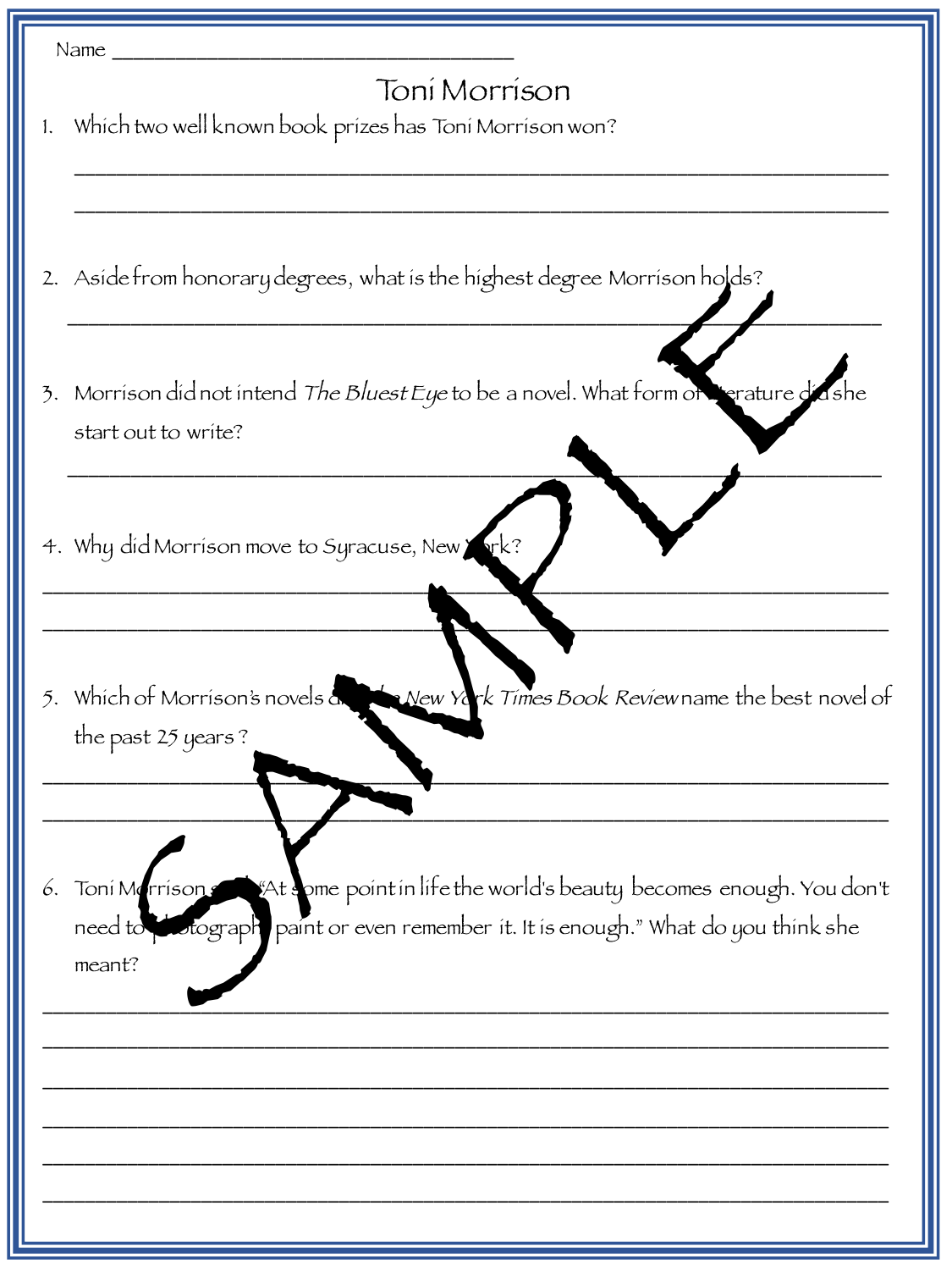| Name_ |                                                                                                     |  |
|-------|-----------------------------------------------------------------------------------------------------|--|
|       | Toní Morríson                                                                                       |  |
| 1.    | Which two well known book prizes has Toni Morrison won?                                             |  |
|       |                                                                                                     |  |
|       |                                                                                                     |  |
|       |                                                                                                     |  |
|       | 2. Asíde from honorary degrees, what is the highest degree Morrison holds?                          |  |
|       |                                                                                                     |  |
|       |                                                                                                     |  |
|       | 3. Morrison did not intend The Bluest Eye to be a novel. What form of the rature did                |  |
|       | start out to write?                                                                                 |  |
|       |                                                                                                     |  |
|       |                                                                                                     |  |
|       | 4. Why did Morrison move to Syracuse, New York?                                                     |  |
|       |                                                                                                     |  |
|       |                                                                                                     |  |
|       |                                                                                                     |  |
|       | New York Times Book Reviewname the best novel of<br>5. Which of Morrison's novels a                 |  |
|       | the past 25 years?                                                                                  |  |
|       |                                                                                                     |  |
|       |                                                                                                     |  |
|       |                                                                                                     |  |
|       | $\mathbb K$ At some point in life the world's beauty becomes enough. You don't<br>6. Toni Merrisons |  |
|       | paint or even remember it. It is enough." What do you think she<br>need to stograph<br>meant?       |  |
|       |                                                                                                     |  |
|       |                                                                                                     |  |
|       |                                                                                                     |  |
|       |                                                                                                     |  |
|       |                                                                                                     |  |
|       |                                                                                                     |  |
|       |                                                                                                     |  |
|       |                                                                                                     |  |

Щ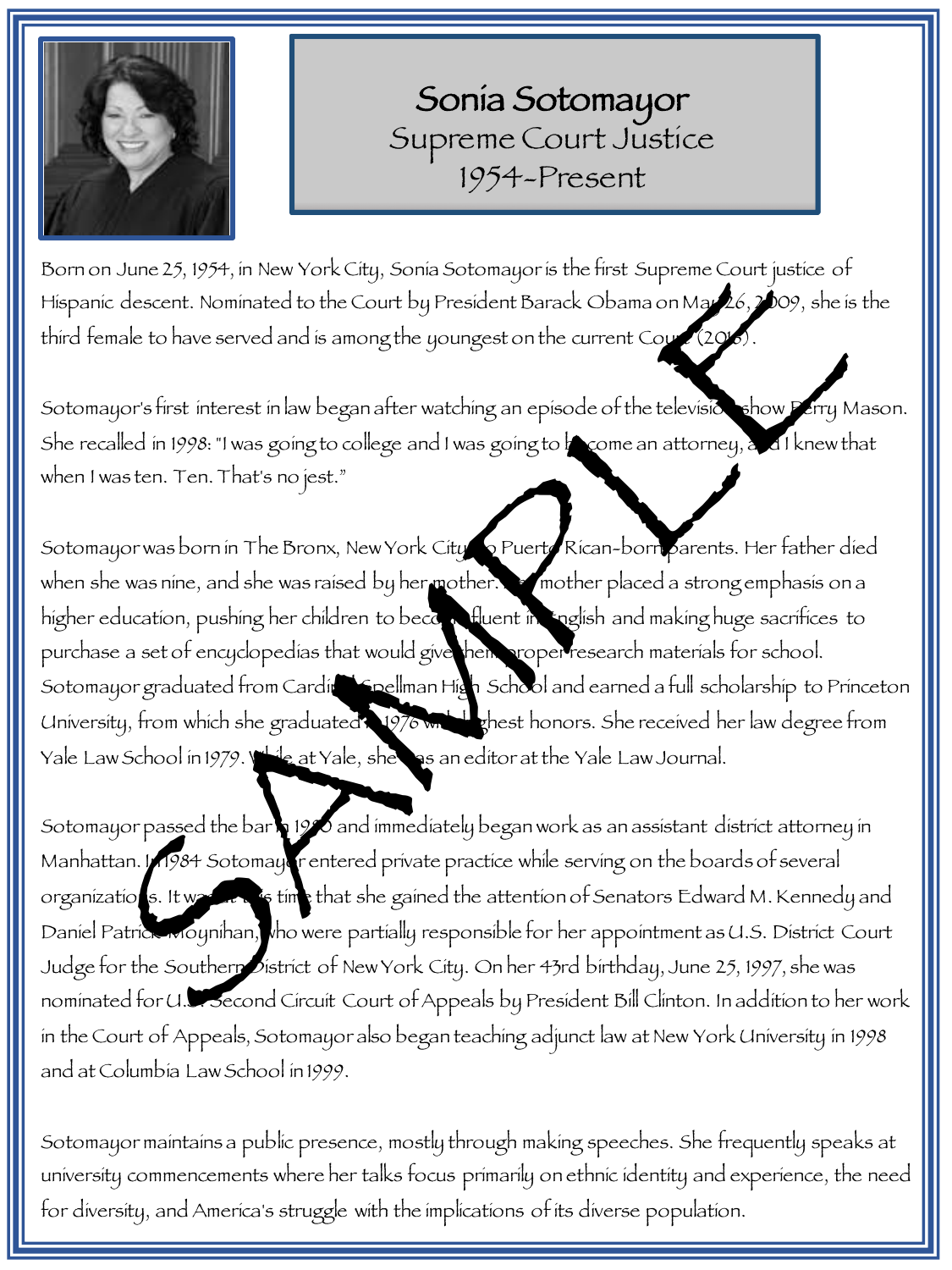

Sonia Sotomayor Supreme Court Justice 1954-Present

Born on June 25, 1954, in New York City, Sonia Sotomayor is the first Supreme Court justice of Hispanic descent. Nominated to the Court by President Barack Obama on May 26, 2009, she is the third female to have served and is among the youngest on the current Court (2016).

Sotomayor's first interest in law began after watching an episode of the television show Perry Mason. She recalled in 1998: "I was going to college and I was going to become an attorney, and I knew that when I was ten. Ten. That's no jest."

Sotomayor was born in The Bronx, New York City to Puerto Rican-born parents. Her father died when she was nine, and she was raised by her mother. He mother placed a strong emphasis on a higher education, pushing her children to become fluent in English and making huge sacrifices to purchase a set of encyclopedias that would give them proper research materials for school. Sotomayor graduated from Cardin Spellman High School and earned a full scholarship to Princeton University, from which she graduated in 1976 with the shest honors. She received her law degree from Yale Law School in 1979. While at Yale, she was an editor at the Yale Law Journal. In June 25, 1954; in New York City, Sonia Sotomagor is the first Supreme Court justice of<br>ic descent. Nominated to the Court by President Barack Obama on May (5, 109, she is<br>male to have served and is among the goungest on

Sotomayor passed the bar 1980 and immediately began work as an assistant district attorney in Manhattan. In 1984 Sotomayor entered private practice while serving on the boards of several organizations. It was are to time that she gained the attention of Senators Edward M. Kennedy and Daniel Patrick Moynihan, who were partially responsible for her appointment as U.S. District Court Judge for the Southern District of New York City. On her 43rd birthday, June 25, 1997, she was nominated for U.S. Second Circuit Court of Appeals by President Bill Clinton. In addition to her work in the Court of Appeals, Sotomayor also began teaching adjunct law at New York University in 1998 and at Columbia Law School in 1999.

Sotomayor maintains a public presence, mostly through making speeches. She frequently speaks at university commencements where her talks focus primarily on ethnic identity and experience, the need for diversity, and America's struggle with the implications of its diverse population.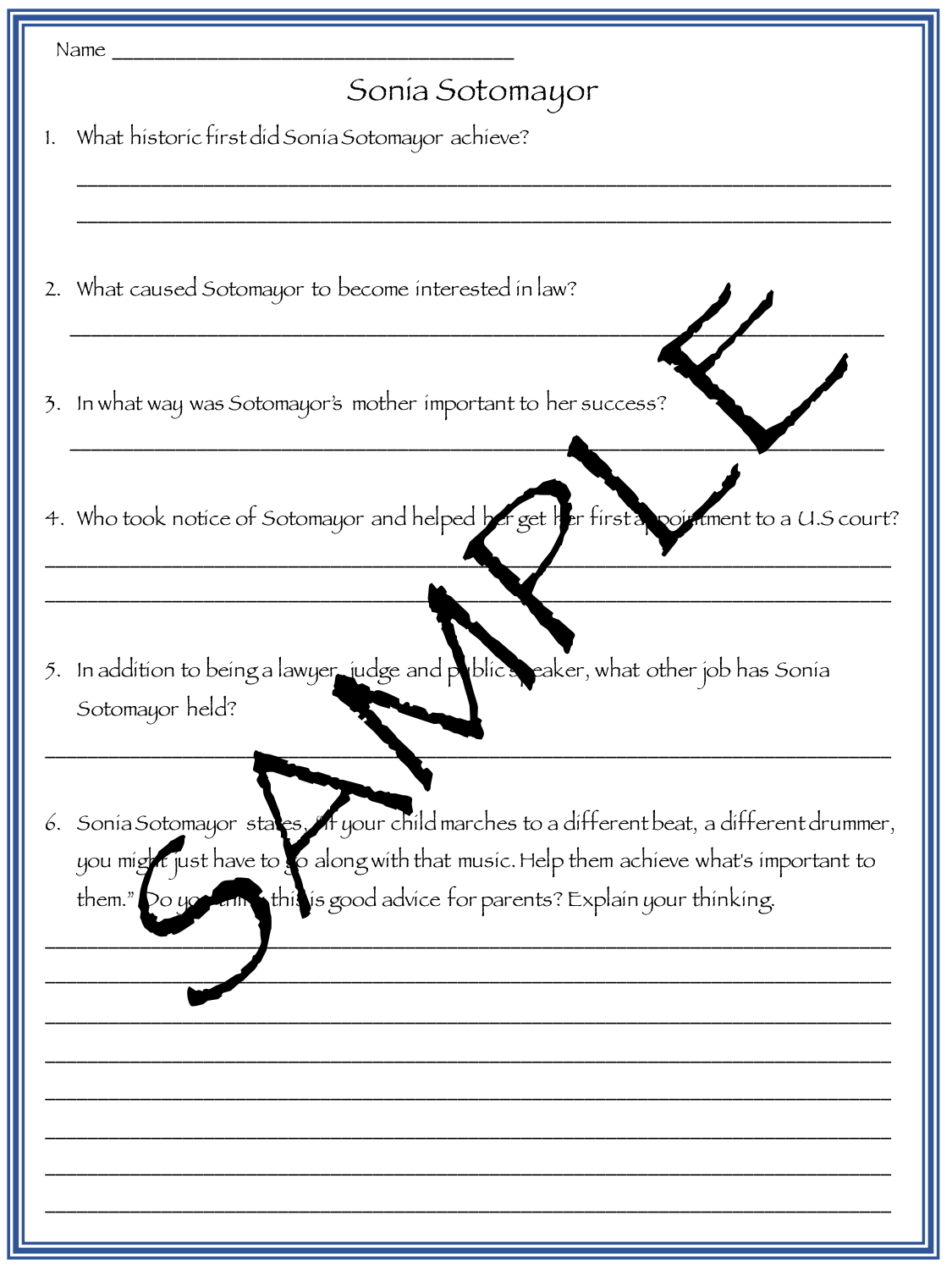| Name $\_$                                                                                                                                                                                                                                                              |
|------------------------------------------------------------------------------------------------------------------------------------------------------------------------------------------------------------------------------------------------------------------------|
| Sonía Sotomayor                                                                                                                                                                                                                                                        |
| 1. What historic first did Sonia Sotomayor achieve?                                                                                                                                                                                                                    |
| 2. What caused Sotomayor to become interested in law?                                                                                                                                                                                                                  |
| 3. In what way was Sotomayor's mother important to her success?                                                                                                                                                                                                        |
| 4. Who took notice of Sotomayor and helped ber get Her first a pointment to a U.S court?                                                                                                                                                                               |
| 5. In addition to being a lawyer judge and publics eaker, what other job has Sonia<br>Sotomayor held?                                                                                                                                                                  |
| 6. Sonia Sotomayor stacs, A your child marches to a different beat, a different drummer,<br>you might just have to so along with that music. Help them achieve what's important to<br>Do you anne this is good advice for parents? Explain your thinking.<br>them. $"$ |
|                                                                                                                                                                                                                                                                        |
|                                                                                                                                                                                                                                                                        |
|                                                                                                                                                                                                                                                                        |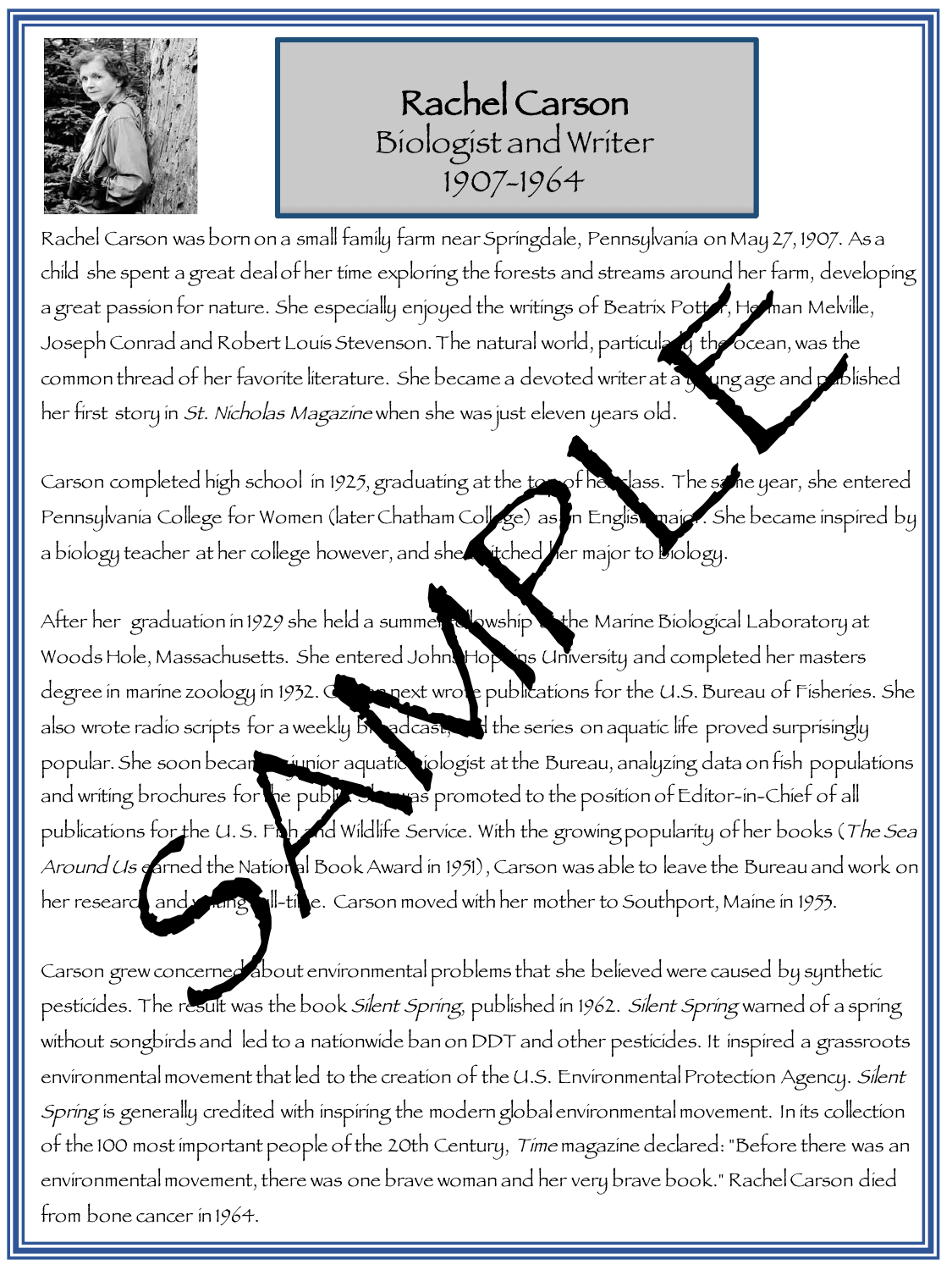

Rachel Carson Biologist and Writer 1907-1964

Rachel Carson was born on a small family farm near Springdale, Pennsylvania on May 27, 1907. As a child she spent a great deal of her time exploring the forests and streams around her farm, developing a great passion for nature. She especially enjoyed the writings of Beatrix Potter, Herman Melville, Joseph Conrad and Robert Louis Stevenson. The natural world, particularly the ocean, was the common thread of her favorite literature. She became a devoted writer at a young age and published her first story in St. Nicholas Magazine when she was just eleven years old.

Carson completed high school in 1925, graduating at the top of her class. The same year, she entered Pennsylvania College for Women (later Chatham College) as in English major. She became inspired by a biology teacher at her college however, and she stitched yer major to biology.

After her graduation in 1929 she held a summer to wship the Marine Biological Laboratory at Woods Hole, Massachusetts. She entered Johns Hopkins University and completed her masters degree in marine zoology in 1932. Carson ext wrote publications for the U.S. Bureau of Fisheries. She also wrote radio scripts for a weekly broadcast, and the series on aquatic life proved surprisingly popular. She soon becant a junior aquatic siologist at the Bureau, analyzing data on fish populations and writing brochures for the public. She was promoted to the position of Editor-in-Chief of all publications for the U.S. Fish and Wildlife Service. With the growing popularity of her books (The Sea Around Us carned the National Book Award in 1951), Carson was able to leave the Bureau and work on her research and writing full-time. Carson moved with her mother to Southport, Maine in 1953. the spent a great deal of her time exploring the forests and streams around her farm, developsis for rature. She especially enjoyed the witings of Beatrix Port of Haman Melvil<br>Contrad and Robert Louis Stevenson. The natura

Carson grew concerned about environmental problems that she believed were caused by synthetic pesticides. The result was the book Silent Spring, published in 1962. Silent Spring warned of a spring without songbirds and led to a nationwide ban on DDT and other pesticides. It inspired a grassroots environmental movement that led to the creation of the U.S. Environmental Protection Agency. Silent Spring is generally credited with inspiring the modern global environmental movement. In its collection of the 100 most important people of the 20th Century, Time magazine declared: "Before there was an environmental movement, there was one brave woman and her very brave book." Rachel Carson died from bone cancer in 1964.